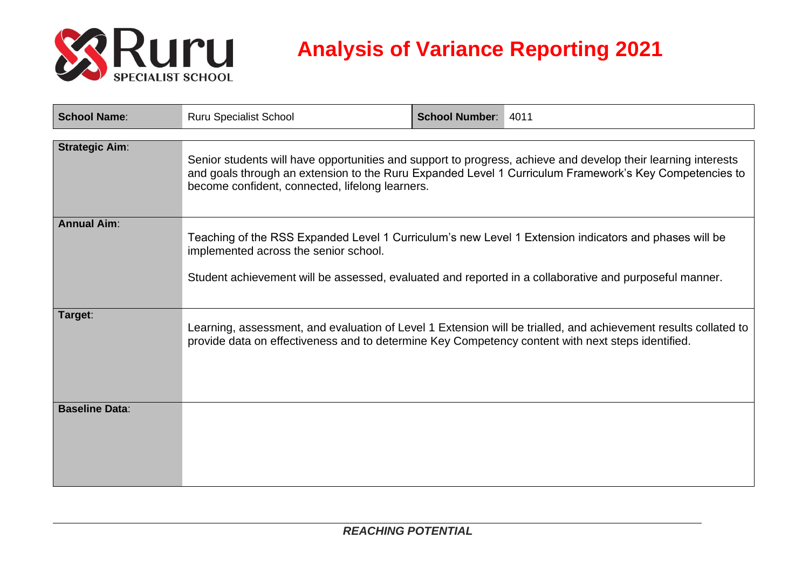

## **Analysis of Variance Reporting 2021**

| <b>School Name:</b>   | <b>Ruru Specialist School</b>                                                                                                                                                                                                                                              | <b>School Number:</b> | 4011                                                                                                            |  |
|-----------------------|----------------------------------------------------------------------------------------------------------------------------------------------------------------------------------------------------------------------------------------------------------------------------|-----------------------|-----------------------------------------------------------------------------------------------------------------|--|
| <b>Strategic Aim:</b> | Senior students will have opportunities and support to progress, achieve and develop their learning interests<br>and goals through an extension to the Ruru Expanded Level 1 Curriculum Framework's Key Competencies to<br>become confident, connected, lifelong learners. |                       |                                                                                                                 |  |
| <b>Annual Aim:</b>    | Teaching of the RSS Expanded Level 1 Curriculum's new Level 1 Extension indicators and phases will be<br>implemented across the senior school.<br>Student achievement will be assessed, evaluated and reported in a collaborative and purposeful manner.                   |                       |                                                                                                                 |  |
| Target:               | provide data on effectiveness and to determine Key Competency content with next steps identified.                                                                                                                                                                          |                       | Learning, assessment, and evaluation of Level 1 Extension will be trialled, and achievement results collated to |  |
| <b>Baseline Data:</b> |                                                                                                                                                                                                                                                                            |                       |                                                                                                                 |  |